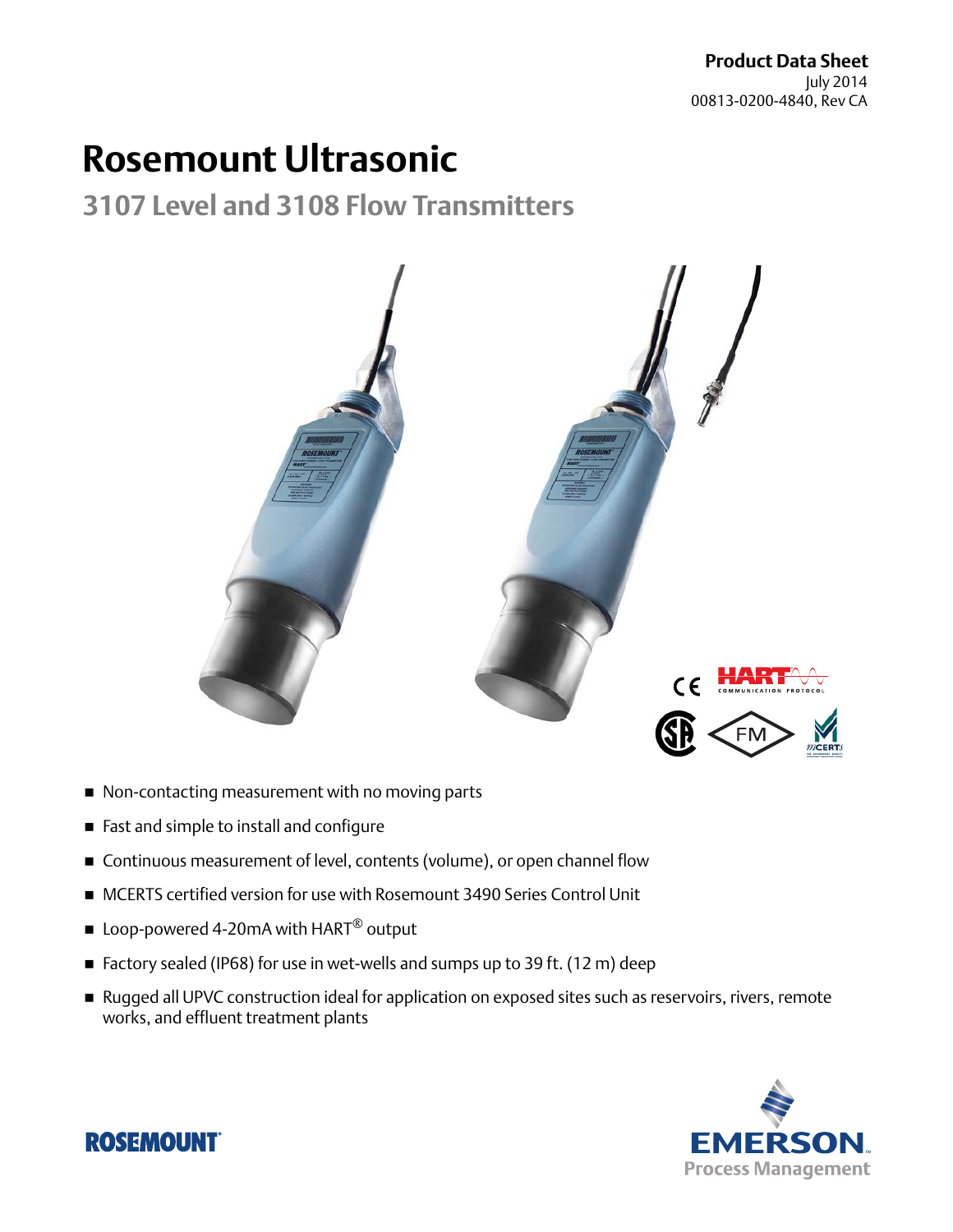# **Rosemount Ultrasonic**

**3107 Level and 3108 Flow Transmitters**



- Non-contacting measurement with no moving parts
- Fast and simple to install and configure
- Continuous measurement of level, contents (volume), or open channel flow
- MCERTS certified version for use with Rosemount 3490 Series Control Unit
- Loop-powered 4-20mA with  $HART^{\circledR}$  output
- Factory sealed (IP68) for use in wet-wells and sumps up to 39 ft. (12 m) deep
- Rugged all UPVC construction ideal for application on exposed sites such as reservoirs, rivers, remote works, and effluent treatment plants



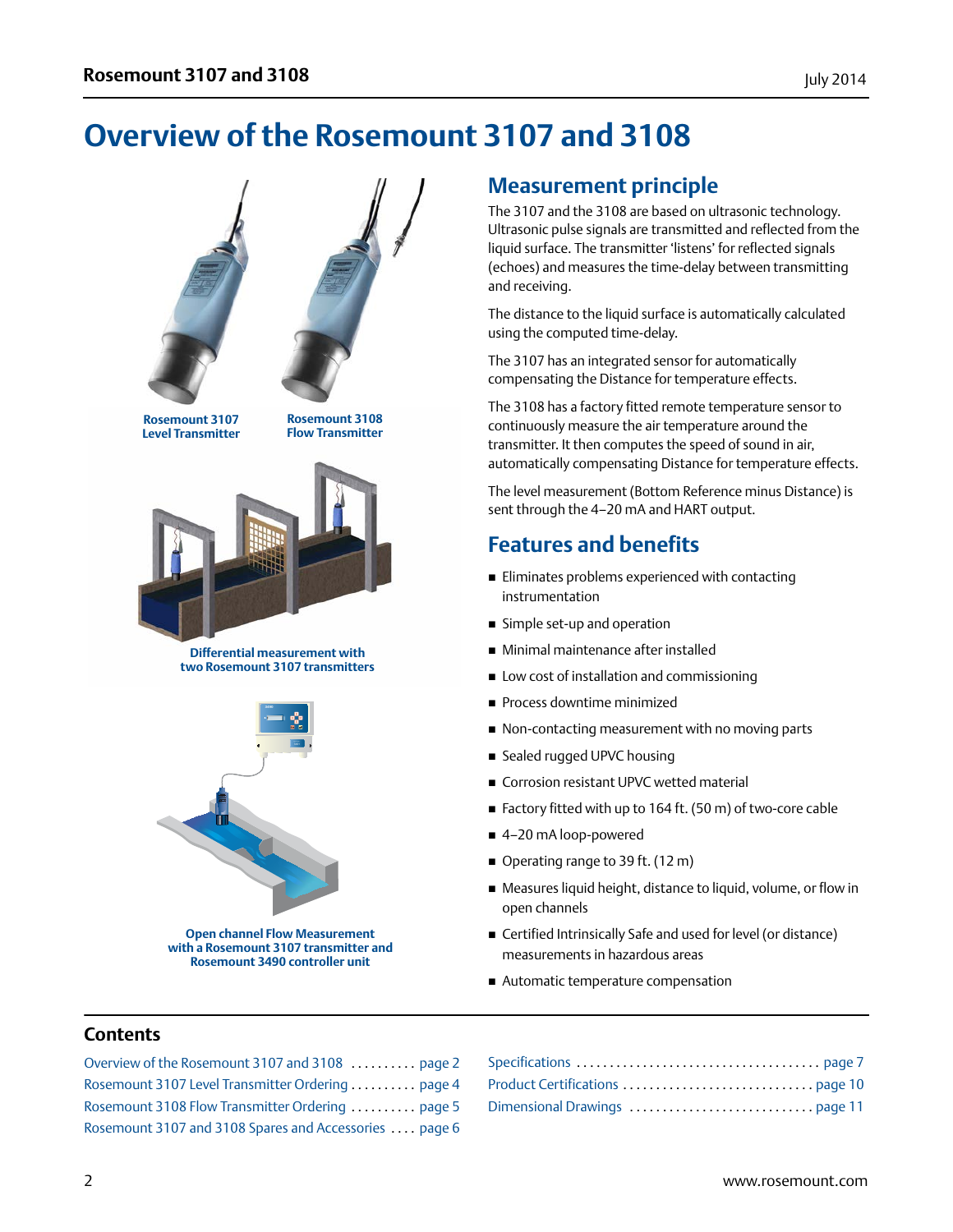## <span id="page-1-0"></span>**Overview of the Rosemount 3107 and 3108**



**Rosemount 3107 Level Transmitter**

**Rosemount 3108 Flow Transmitter**



#### **Differential measurement with two Rosemount 3107 transmitters**



**Open channel Flow Measurement with a Rosemount 3107 transmitter and Rosemount 3490 controller unit**

### **Measurement principle**

The 3107 and the 3108 are based on ultrasonic technology. Ultrasonic pulse signals are transmitted and reflected from the liquid surface. The transmitter 'listens' for reflected signals (echoes) and measures the time-delay between transmitting and receiving.

The distance to the liquid surface is automatically calculated using the computed time-delay.

The 3107 has an integrated sensor for automatically compensating the Distance for temperature effects.

The 3108 has a factory fitted remote temperature sensor to continuously measure the air temperature around the transmitter. It then computes the speed of sound in air, automatically compensating Distance for temperature effects.

The level measurement (Bottom Reference minus Distance) is sent through the 4–20 mA and HART output.

### **Features and benefits**

- **Eliminates problems experienced with contacting** instrumentation
- Simple set-up and operation
- Minimal maintenance after installed
- **Low cost of installation and commissioning**
- **Process downtime minimized**
- Non-contacting measurement with no moving parts
- Sealed rugged UPVC housing
- Corrosion resistant UPVC wetted material
- Factory fitted with up to 164 ft. (50 m) of two-core cable
- 4-20 mA loop-powered
- Operating range to 39 ft. (12 m)
- Measures liquid height, distance to liquid, volume, or flow in open channels
- Certified Intrinsically Safe and used for level (or distance) measurements in hazardous areas
- Automatic temperature compensation

#### **Contents**

| Overview of the Rosemount 3107 and 3108  page 2        |  |
|--------------------------------------------------------|--|
| Rosemount 3107 Level Transmitter Ordering  page 4      |  |
| Rosemount 3108 Flow Transmitter Ordering  page 5       |  |
| Rosemount 3107 and 3108 Spares and Accessories  page 6 |  |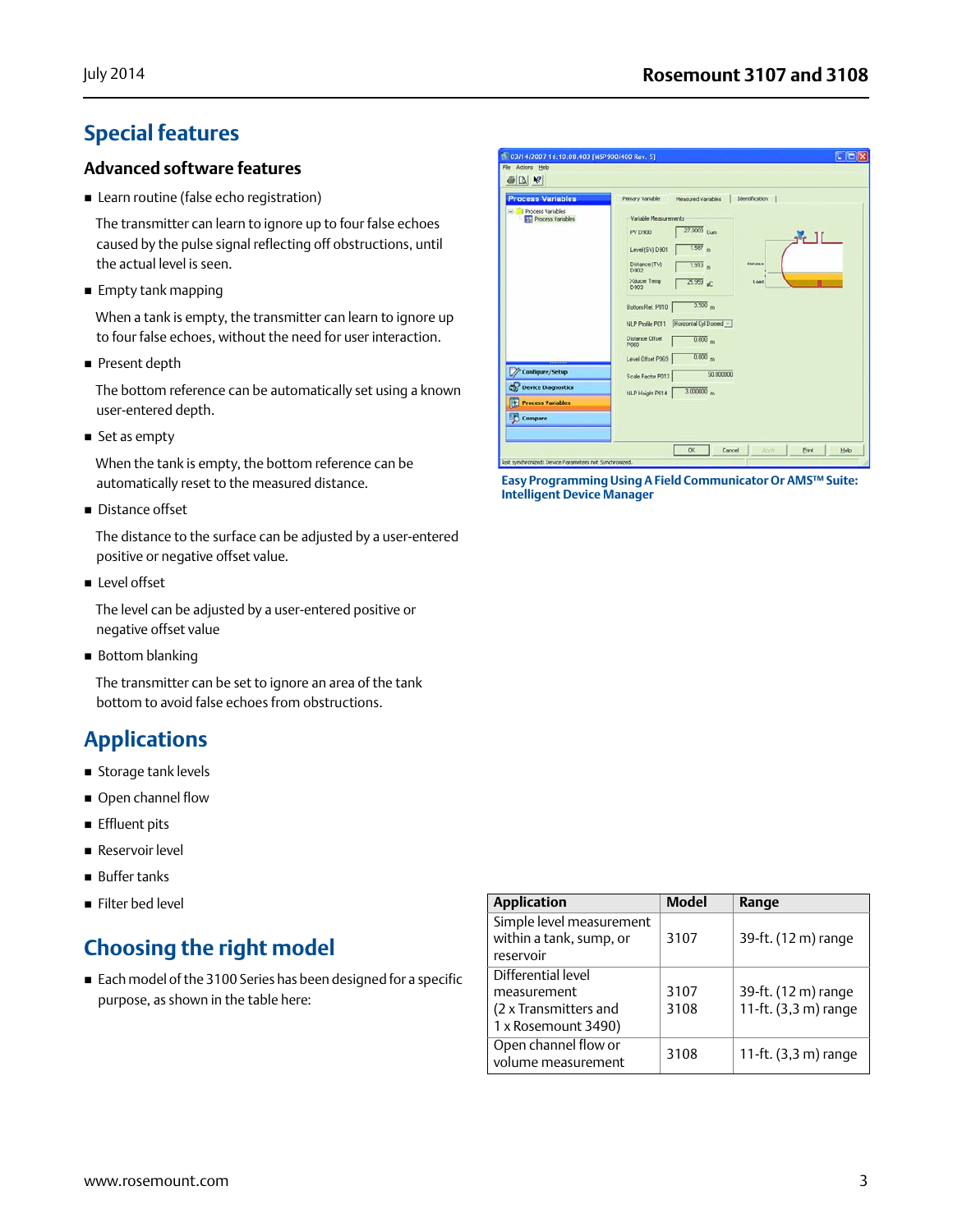## **Special features**

#### **Advanced software features**

**E** Learn routine (false echo registration)

The transmitter can learn to ignore up to four false echoes caused by the pulse signal reflecting off obstructions, until the actual level is seen.

**Empty tank mapping** 

When a tank is empty, the transmitter can learn to ignore up to four false echoes, without the need for user interaction.

Present depth

The bottom reference can be automatically set using a known user-entered depth.

■ Set as empty

When the tank is empty, the bottom reference can be automatically reset to the measured distance.

Distance offset

The distance to the surface can be adjusted by a user-entered positive or negative offset value.

**Level offset** 

The level can be adjusted by a user-entered positive or negative offset value

■ Bottom blanking

The transmitter can be set to ignore an area of the tank bottom to avoid false echoes from obstructions.

## **Applications**

- **Storage tank levels**
- Open channel flow
- **Effluent pits**
- Reservoir level
- **Buffer tanks**
- Filter bed level

## **Choosing the right model**

 Each model of the 3100 Series has been designed for a specific purpose, as shown in the table here:

| <b>Process Variables</b>                        | Primary Variable<br>Identification<br>Measured Variables                                                                                                                                                                                                                                                                                                                                             |
|-------------------------------------------------|------------------------------------------------------------------------------------------------------------------------------------------------------------------------------------------------------------------------------------------------------------------------------------------------------------------------------------------------------------------------------------------------------|
| E Process Variables<br><b>Process Variables</b> | Variable Measurements<br>27.0009 Cum<br><b>PV 0900</b><br>$\mathbf{H}$ if<br>$1.587$ m<br>Level (SV) D 901<br>Distance (TV)<br><b>Distance</b><br>1.913 <sub>m</sub><br><b>D902</b><br>Xducer Temp<br>$25.959$ <sub>of</sub><br>Level<br>D:903<br>3.500 <sub>m</sub><br>Bottom Ref. P010<br>Honzontal Cyl Domed -<br>NLP Profile P011<br><b>Distance Offset</b><br>0.000 <sub>m</sub><br><b>P060</b> |
| ,,,,,,,,,,                                      | $0.000$ <sub>m</sub><br>Level Offset P069                                                                                                                                                                                                                                                                                                                                                            |
| Configure/Setup                                 | 50,000000<br>Scale Factor P013                                                                                                                                                                                                                                                                                                                                                                       |
| C.<br><b>Device Diagnostics</b>                 | $3.000000_{m}$<br>NLP Height P014                                                                                                                                                                                                                                                                                                                                                                    |
| Œ<br><b>Process Variables</b>                   |                                                                                                                                                                                                                                                                                                                                                                                                      |
| Compare                                         |                                                                                                                                                                                                                                                                                                                                                                                                      |

**Easy Programming Using A Field Communicator Or AMS™ Suite: Intelligent Device Manager**

| <b>Application</b>                                               | <b>Model</b> | Range                |
|------------------------------------------------------------------|--------------|----------------------|
| Simple level measurement<br>within a tank, sump, or<br>reservoir | 3107         | 39-ft. (12 m) range  |
| Differential level                                               |              |                      |
| measurement                                                      | 3107         | 39-ft. (12 m) range  |
| (2 x Transmitters and                                            | 3108         | 11-ft. (3,3 m) range |
| 1 x Rosemount 3490)                                              |              |                      |
| Open channel flow or<br>volume measurement                       | 3108         | 11-ft. (3,3 m) range |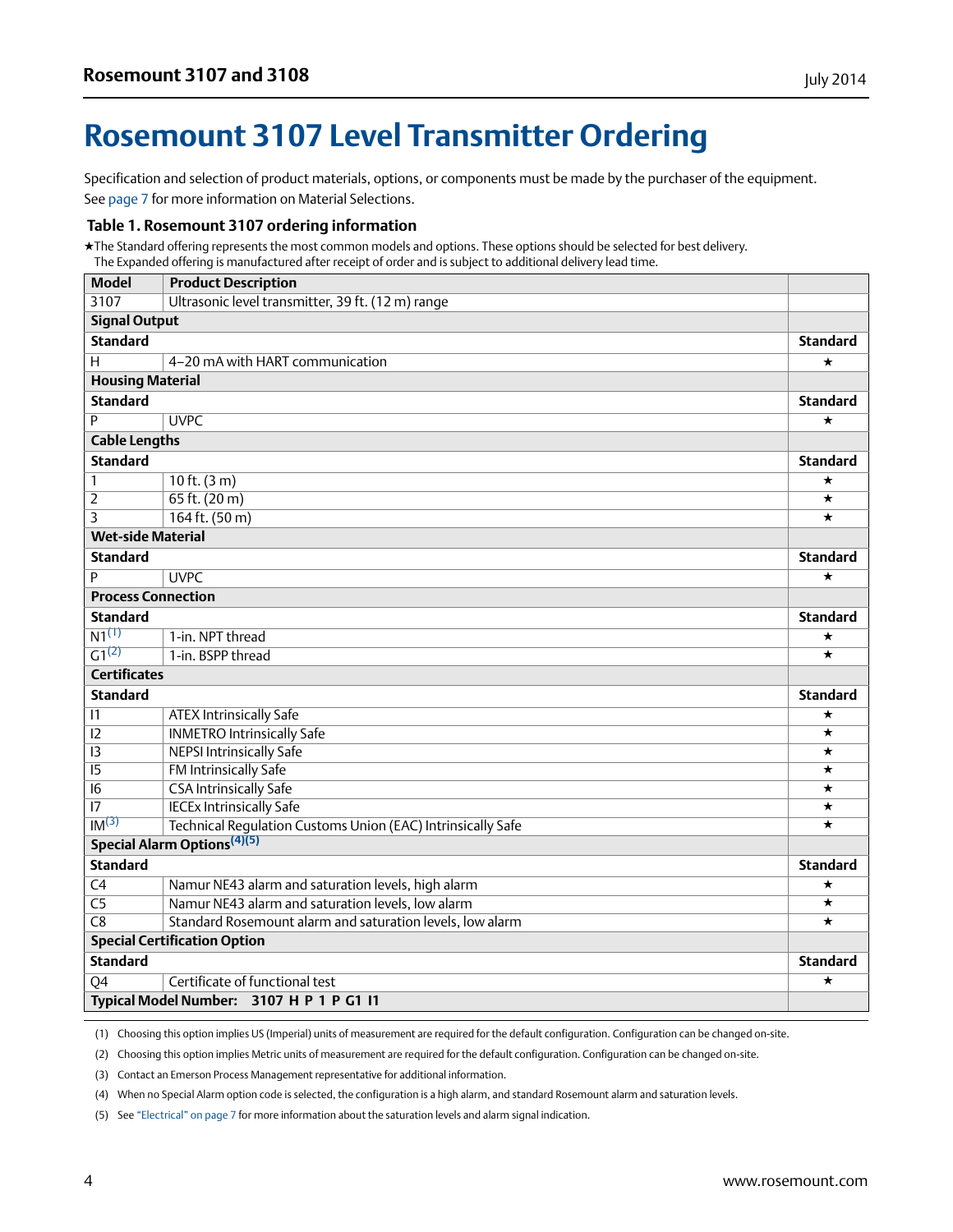## <span id="page-3-0"></span>**Rosemount 3107 Level Transmitter Ordering**

Specification and selection of product materials, options, or components must be made by the purchaser of the equipment. See [page 7](#page-6-2) for more information on Material Selections.

#### **Table 1. Rosemount 3107 ordering information**

★The Standard offering represents the most common models and options. These options should be selected for best delivery. The Expanded offering is manufactured after receipt of order and is subject to additional delivery lead time.

| <b>Model</b>              | <b>Product Description</b>                                  |                 |
|---------------------------|-------------------------------------------------------------|-----------------|
| 3107                      | Ultrasonic level transmitter, 39 ft. (12 m) range           |                 |
| <b>Signal Output</b>      |                                                             |                 |
| <b>Standard</b>           |                                                             | <b>Standard</b> |
| Η                         | 4-20 mA with HART communication                             | $\star$         |
| <b>Housing Material</b>   |                                                             |                 |
| <b>Standard</b>           |                                                             | <b>Standard</b> |
| Þ                         | <b>UVPC</b>                                                 | $\star$         |
| <b>Cable Lengths</b>      |                                                             |                 |
| <b>Standard</b>           |                                                             | <b>Standard</b> |
| 1                         | $10$ ft. $(3 m)$                                            | $\star$         |
| $\overline{2}$            | $65$ ft. $(20 m)$                                           | $\star$         |
| $\overline{\mathbf{3}}$   | $164$ ft. $(50 m)$                                          | $\star$         |
| <b>Wet-side Material</b>  |                                                             |                 |
| <b>Standard</b>           |                                                             | <b>Standard</b> |
| Þ                         | <b>UVPC</b>                                                 | $\star$         |
| <b>Process Connection</b> |                                                             |                 |
| <b>Standard</b>           |                                                             | <b>Standard</b> |
| $N1^{(1)}$                | 1-in. NPT thread                                            | $\star$         |
| $G1^{(2)}$                | 1-in. BSPP thread                                           | $\star$         |
| <b>Certificates</b>       |                                                             |                 |
| <b>Standard</b>           |                                                             | <b>Standard</b> |
| 1                         | ATEX Intrinsically Safe                                     | $\star$         |
| 12                        | <b>INMETRO Intrinsically Safe</b>                           | $\star$         |
| 13                        | <b>NEPSI Intrinsically Safe</b>                             | $\star$         |
| $\overline{15}$           | FM Intrinsically Safe                                       | $\star$         |
| $\overline{16}$           | <b>CSA Intrinsically Safe</b>                               | ★               |
| $\overline{17}$           | <b>IECEx Intrinsically Safe</b>                             | ★               |
| IM <sup>(3)</sup>         | Technical Regulation Customs Union (EAC) Intrinsically Safe | $\star$         |
|                           | Special Alarm Options <sup>(4)(5)</sup>                     |                 |
| <b>Standard</b>           |                                                             | <b>Standard</b> |
| $\overline{C4}$           | Namur NE43 alarm and saturation levels, high alarm          | ★               |
| $\overline{C5}$           | Namur NE43 alarm and saturation levels, low alarm           | $\star$         |
| $\overline{C8}$           | Standard Rosemount alarm and saturation levels, low alarm   | $\star$         |
|                           | <b>Special Certification Option</b>                         |                 |
| <b>Standard</b>           |                                                             | <b>Standard</b> |
| $\overline{Q4}$           | Certificate of functional test                              | $\star$         |
|                           | Typical Model Number: 3107 H P 1 P G1 I1                    |                 |

<span id="page-3-1"></span>(1) Choosing this option implies US (Imperial) units of measurement are required for the default configuration. Configuration can be changed on-site.

<span id="page-3-2"></span>(2) Choosing this option implies Metric units of measurement are required for the default configuration. Configuration can be changed on-site.

(3) Contact an Emerson Process Management representative for additional information.

(4) When no Special Alarm option code is selected, the configuration is a high alarm, and standard Rosemount alarm and saturation levels.

(5) See ["Electrical" on page 7](#page-6-1) for more information about the saturation levels and alarm signal indication.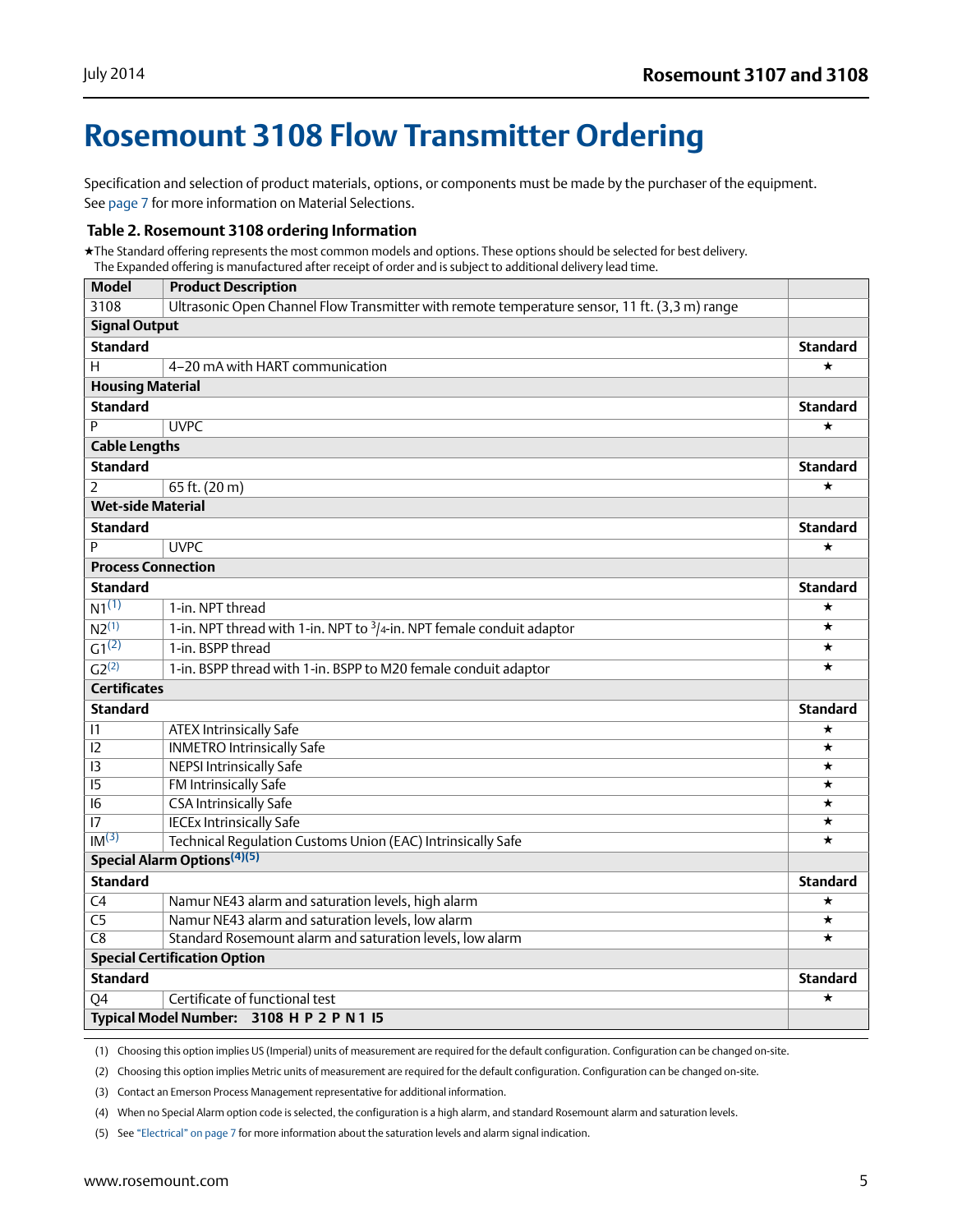## <span id="page-4-0"></span>**Rosemount 3108 Flow Transmitter Ordering**

Specification and selection of product materials, options, or components must be made by the purchaser of the equipment. See [page 7](#page-6-2) for more information on Material Selections.

#### **Table 2. Rosemount 3108 ordering Information**

★The Standard offering represents the most common models and options. These options should be selected for best delivery. The Expanded offering is manufactured after receipt of order and is subject to additional delivery lead time.

| <b>Model</b>              | <b>Product Description</b>                                                                    |                 |
|---------------------------|-----------------------------------------------------------------------------------------------|-----------------|
| 3108                      | Ultrasonic Open Channel Flow Transmitter with remote temperature sensor, 11 ft. (3,3 m) range |                 |
| <b>Signal Output</b>      |                                                                                               |                 |
| <b>Standard</b>           |                                                                                               | <b>Standard</b> |
| H                         | 4-20 mA with HART communication                                                               | $\star$         |
| <b>Housing Material</b>   |                                                                                               |                 |
| <b>Standard</b>           |                                                                                               | <b>Standard</b> |
| Þ                         | <b>UVPC</b>                                                                                   | $^\star$        |
| <b>Cable Lengths</b>      |                                                                                               |                 |
| <b>Standard</b>           |                                                                                               | <b>Standard</b> |
| $\overline{2}$            | 65 ft. (20 m)                                                                                 | $^\star$        |
| <b>Wet-side Material</b>  |                                                                                               |                 |
| <b>Standard</b>           |                                                                                               | <b>Standard</b> |
| P                         | <b>UVPC</b>                                                                                   | $^\star$        |
| <b>Process Connection</b> |                                                                                               |                 |
| <b>Standard</b>           |                                                                                               | <b>Standard</b> |
| $N1^{(1)}$                | 1-in. NPT thread                                                                              | $\star$         |
| $\overline{N2^{(1)}}$     | 1-in. NPT thread with 1-in. NPT to $\frac{3}{4}$ -in. NPT female conduit adaptor              | $\star$         |
| $\overline{G1^{(2)}}$     | 1-in. BSPP thread                                                                             | $\star$         |
| $\overline{G2^{(2)}}$     | 1-in. BSPP thread with 1-in. BSPP to M20 female conduit adaptor                               | ★               |
| <b>Certificates</b>       |                                                                                               |                 |
| <b>Standard</b>           |                                                                                               | <b>Standard</b> |
| 1                         | <b>ATEX Intrinsically Safe</b>                                                                | ★               |
| 12                        | <b>INMETRO Intrinsically Safe</b>                                                             | $\star$         |
| $\overline{13}$           | <b>NEPSI Intrinsically Safe</b>                                                               | $\star$         |
| $\overline{15}$           | FM Intrinsically Safe                                                                         | $\star$         |
| $\overline{16}$           | <b>CSA Intrinsically Safe</b>                                                                 | ★               |
| $\overline{17}$           | <b>IECEx Intrinsically Safe</b>                                                               | ★               |
| IM <sup>(3)</sup>         | Technical Regulation Customs Union (EAC) Intrinsically Safe                                   | $\star$         |
|                           | Special Alarm Options <sup>(4)(5)</sup>                                                       |                 |
| <b>Standard</b>           |                                                                                               | <b>Standard</b> |
| $\overline{C4}$           | Namur NE43 alarm and saturation levels, high alarm                                            | ★               |
| $\overline{C5}$           | Namur NE43 alarm and saturation levels, low alarm                                             | ★               |
| C8                        | Standard Rosemount alarm and saturation levels, low alarm                                     | $\star$         |
|                           | <b>Special Certification Option</b>                                                           |                 |
| <b>Standard</b>           |                                                                                               | <b>Standard</b> |
| $\overline{Q4}$           | Certificate of functional test                                                                | $\star$         |
|                           | Typical Model Number: 3108 H P 2 P N 1 I5                                                     |                 |

(1) Choosing this option implies US (Imperial) units of measurement are required for the default configuration. Configuration can be changed on-site.

(2) Choosing this option implies Metric units of measurement are required for the default configuration. Configuration can be changed on-site.

(3) Contact an Emerson Process Management representative for additional information.

(4) When no Special Alarm option code is selected, the configuration is a high alarm, and standard Rosemount alarm and saturation levels.

(5) See ["Electrical" on page 7](#page-6-1) for more information about the saturation levels and alarm signal indication.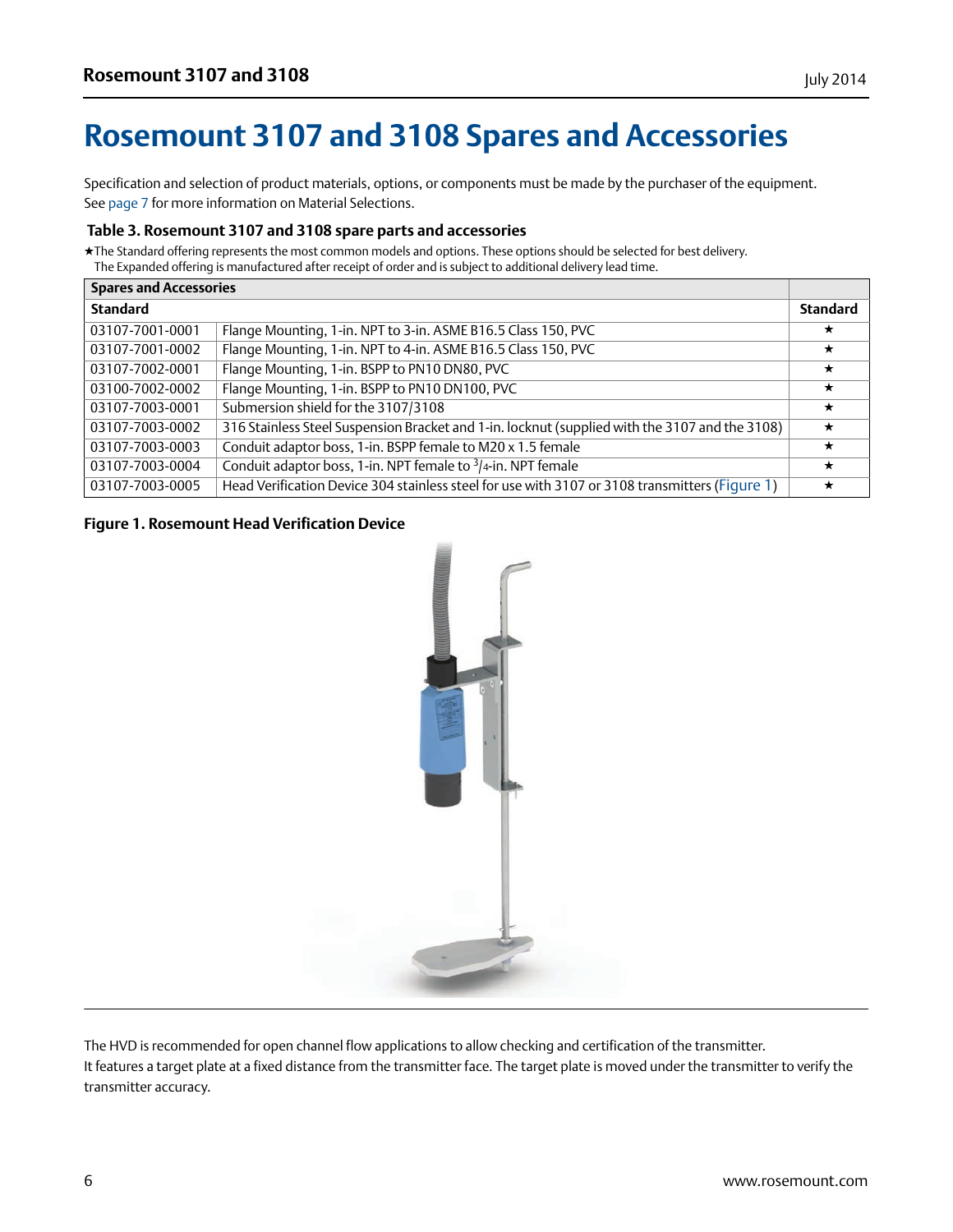## <span id="page-5-0"></span>**Rosemount 3107 and 3108 Spares and Accessories**

Specification and selection of product materials, options, or components must be made by the purchaser of the equipment. See [page 7](#page-6-2) for more information on Material Selections.

#### **Table 3. Rosemount 3107 and 3108 spare parts and accessories**

★The Standard offering represents the most common models and options. These options should be selected for best delivery. The Expanded offering is manufactured after receipt of order and is subject to additional delivery lead time.

| <b>Spares and Accessories</b> |                                                                                                |                 |
|-------------------------------|------------------------------------------------------------------------------------------------|-----------------|
| <b>Standard</b>               |                                                                                                | <b>Standard</b> |
| 03107-7001-0001               | Flange Mounting, 1-in. NPT to 3-in. ASME B16.5 Class 150, PVC                                  | ★               |
| 03107-7001-0002               | Flange Mounting, 1-in. NPT to 4-in. ASME B16.5 Class 150, PVC                                  | $\star$         |
| 03107-7002-0001               | Flange Mounting, 1-in. BSPP to PN10 DN80, PVC                                                  | $\star$         |
| 03100-7002-0002               | Flange Mounting, 1-in. BSPP to PN10 DN100, PVC                                                 | $\star$         |
| 03107-7003-0001               | Submersion shield for the 3107/3108                                                            | $\star$         |
| 03107-7003-0002               | 316 Stainless Steel Suspension Bracket and 1-in. locknut (supplied with the 3107 and the 3108) | $\star$         |
| 03107-7003-0003               | Conduit adaptor boss, 1-in. BSPP female to M20 x 1.5 female                                    | $\star$         |
| 03107-7003-0004               | Conduit adaptor boss, 1-in. NPT female to $\frac{3}{4}$ -in. NPT female                        | $\star$         |
| 03107-7003-0005               | Head Verification Device 304 stainless steel for use with 3107 or 3108 transmitters (Figure 1) | $\star$         |

#### <span id="page-5-1"></span>**Figure 1. Rosemount Head Verification Device**



The HVD is recommended for open channel flow applications to allow checking and certification of the transmitter. It features a target plate at a fixed distance from the transmitter face. The target plate is moved under the transmitter to verify the transmitter accuracy.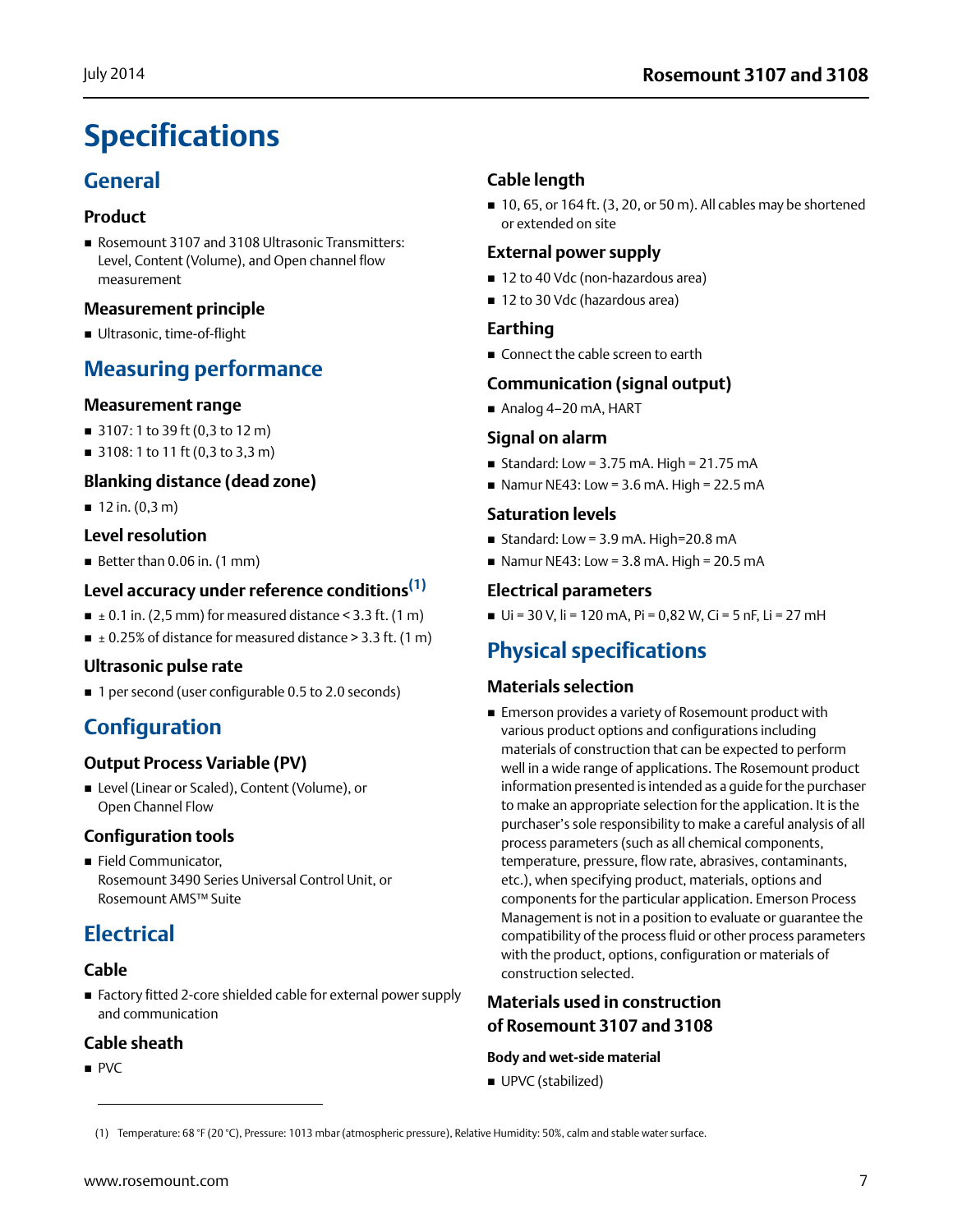## <span id="page-6-0"></span>**Specifications**

## **General**

#### **Product**

Rosemount 3107 and 3108 Ultrasonic Transmitters: Level, Content (Volume), and Open channel flow measurement

#### **Measurement principle**

Ultrasonic, time-of-flight

### **Measuring performance**

#### **Measurement range**

- 3107: 1 to 39 ft (0,3 to 12 m)
- 3108: 1 to 11 ft (0,3 to 3,3 m)

#### **Blanking distance (dead zone)**

 $12$  in.  $(0, 3, m)$ 

#### **Level resolution**

Better than 0.06 in. (1 mm)

#### **Level accuracy under reference conditions(1)**

- $\blacksquare$  ± 0.1 in. (2,5 mm) for measured distance < 3.3 ft. (1 m)
- $\blacksquare$   $\pm$  0.25% of distance for measured distance > 3.3 ft. (1 m)

#### **Ultrasonic pulse rate**

■ 1 per second (user configurable 0.5 to 2.0 seconds)

## **Configuration**

#### **Output Process Variable (PV)**

■ Level (Linear or Scaled), Content (Volume), or Open Channel Flow

#### **Configuration tools**

Field Communicator, Rosemount 3490 Series Universal Control Unit, or Rosemount AMS™ Suite

### <span id="page-6-1"></span>**Electrical**

#### **Cable**

 Factory fitted 2-core shielded cable for external power supply and communication

#### **Cable sheath**

 $PVC$ 

#### **Cable length**

 $\blacksquare$  10, 65, or 164 ft. (3, 20, or 50 m). All cables may be shortened or extended on site

#### **External power supply**

- 12 to 40 Vdc (non-hazardous area)
- 12 to 30 Vdc (hazardous area)

#### **Earthing**

Connect the cable screen to earth

#### **Communication (signal output)**

Analog 4–20 mA, HART

#### **Signal on alarm**

- Standard: Low =  $3.75$  mA. High =  $21.75$  mA
- Namur NE43: Low =  $3.6$  mA. High =  $22.5$  mA

#### **Saturation levels**

- Standard: Low =  $3.9$  mA. High= $20.8$  mA
- Namur NE43: Low =  $3.8$  mA. High =  $20.5$  mA

#### **Electrical parameters**

 $U$ i = 30 V, li = 120 mA, Pi = 0,82 W, Ci = 5 nF, Li = 27 mH

## **Physical specifications**

#### <span id="page-6-2"></span>**Materials selection**

 Emerson provides a variety of Rosemount product with various product options and configurations including materials of construction that can be expected to perform well in a wide range of applications. The Rosemount product information presented is intended as a guide for the purchaser to make an appropriate selection for the application. It is the purchaser's sole responsibility to make a careful analysis of all process parameters (such as all chemical components, temperature, pressure, flow rate, abrasives, contaminants, etc.), when specifying product, materials, options and components for the particular application. Emerson Process Management is not in a position to evaluate or guarantee the compatibility of the process fluid or other process parameters with the product, options, configuration or materials of construction selected.

### **Materials used in construction of Rosemount 3107 and 3108**

#### **Body and wet-side material**

■ UPVC (stabilized)

(1) Temperature: 68 °F (20 °C), Pressure: 1013 mbar (atmospheric pressure), Relative Humidity: 50%, calm and stable water surface.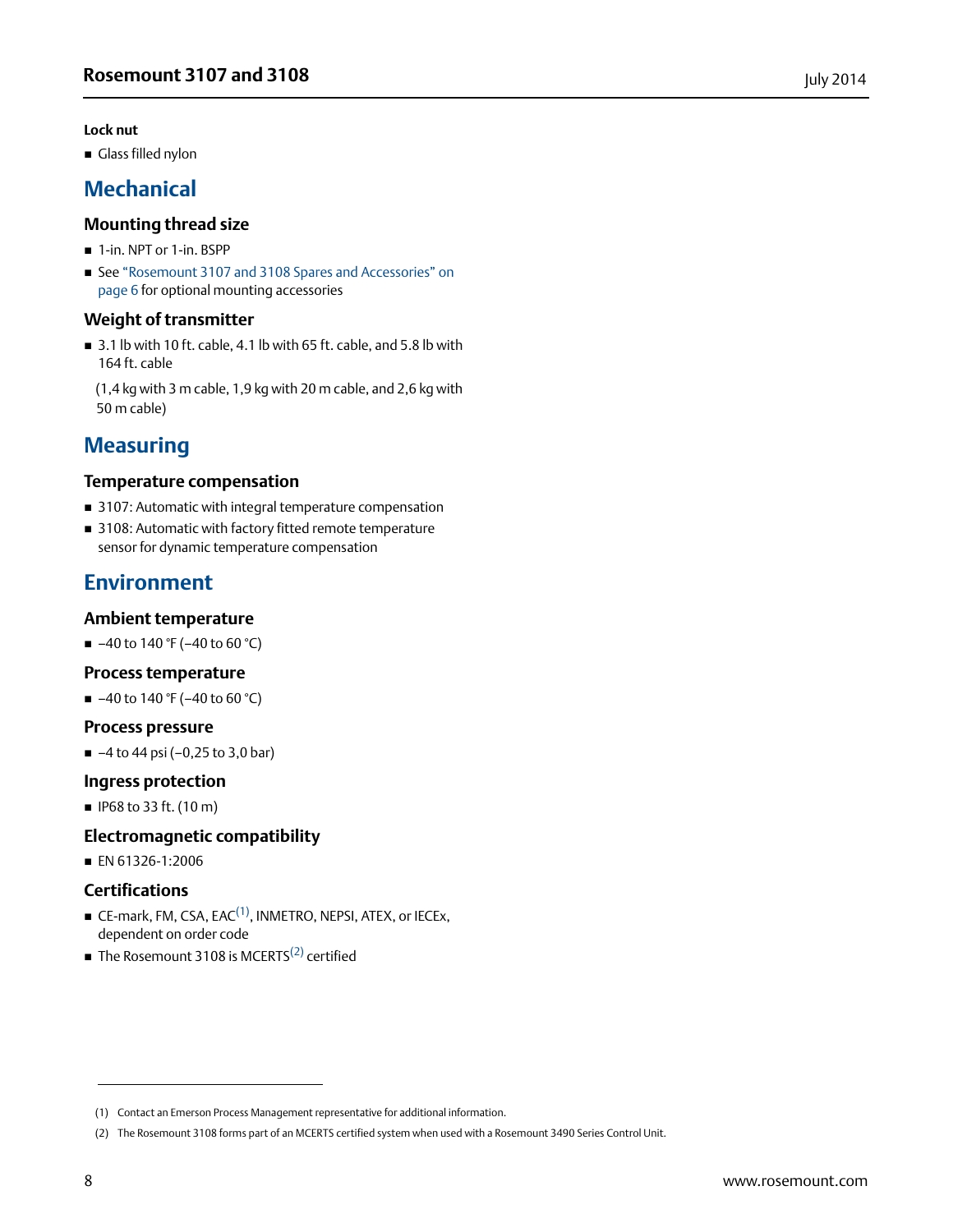#### **Lock nut**

Glass filled nylon

### **Mechanical**

#### **Mounting thread size**

- 1-in. NPT or 1-in. BSPP
- See "Rosemount 3107 and 3108 Spares and Accessories" on [page 6](#page-5-0) for optional mounting accessories

#### **Weight of transmitter**

 $\blacksquare$  3.1 lb with 10 ft. cable, 4.1 lb with 65 ft. cable, and 5.8 lb with 164 ft. cable

(1,4 kg with 3 m cable, 1,9 kg with 20 m cable, and 2,6 kg with 50 m cable)

### **Measuring**

#### **Temperature compensation**

- 3107: Automatic with integral temperature compensation
- 3108: Automatic with factory fitted remote temperature sensor for dynamic temperature compensation

### **Environment**

#### **Ambient temperature**

 $-40$  to 140 °F (-40 to 60 °C)

#### **Process temperature**

 $-40$  to 140 °F (-40 to 60 °C)

#### **Process pressure**

 $-4$  to 44 psi (-0,25 to 3,0 bar)

#### **Ingress protection**

■ IP68 to 33 ft. (10 m)

#### **Electromagnetic compatibility**

■ EN 61326-1:2006

#### **Certifications**

- $\blacksquare$  CE-mark, FM, CSA, EAC<sup>(1)</sup>, INMETRO, NEPSI, ATEX, or IECEx, dependent on order code
- $\blacksquare$  The Rosemount 3108 is MCERTS<sup>(2)</sup> certified

<sup>(1)</sup> Contact an Emerson Process Management representative for additional information.

<sup>(2)</sup> The Rosemount 3108 forms part of an MCERTS certified system when used with a Rosemount 3490 Series Control Unit.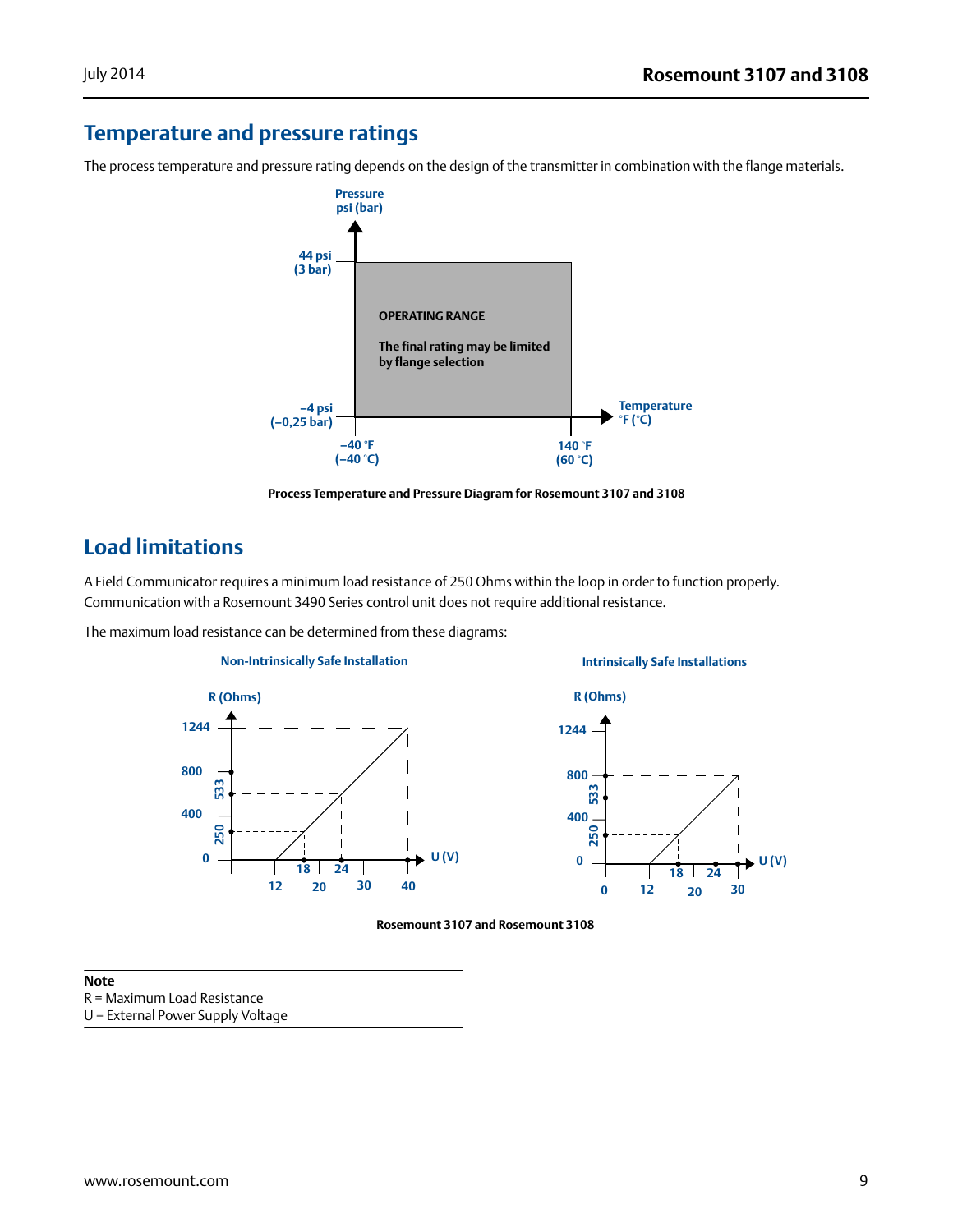## **Temperature and pressure ratings**

The process temperature and pressure rating depends on the design of the transmitter in combination with the flange materials.



**Process Temperature and Pressure Diagram for Rosemount 3107 and 3108**

### **Load limitations**

A Field Communicator requires a minimum load resistance of 250 Ohms within the loop in order to function properly. Communication with a Rosemount 3490 Series control unit does not require additional resistance.

The maximum load resistance can be determined from these diagrams:





#### **Rosemount 3107 and Rosemount 3108**

#### **Note**

R = Maximum Load Resistance

U = External Power Supply Voltage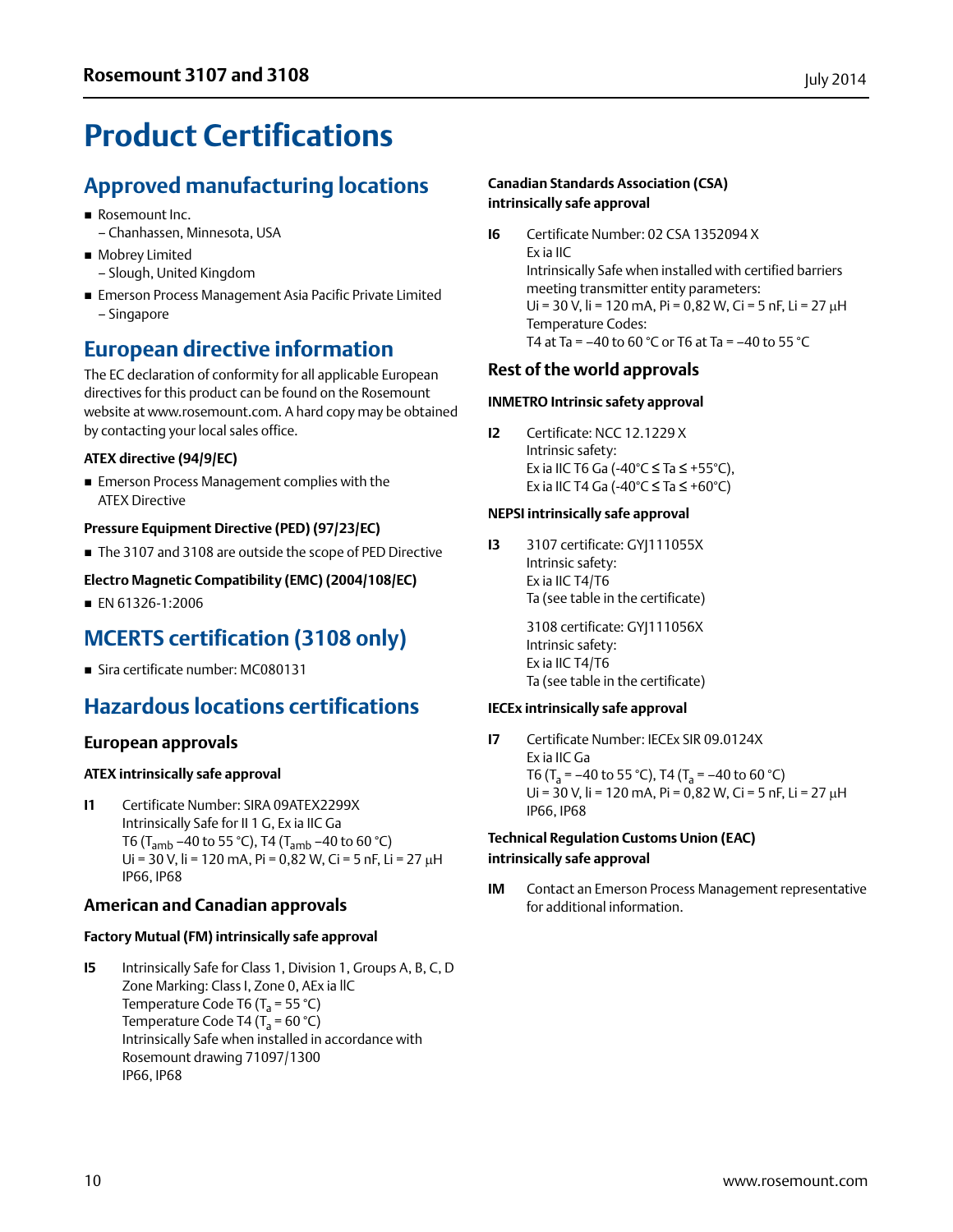## <span id="page-9-0"></span>**Product Certifications**

## **Approved manufacturing locations**

- Rosemount Inc.
	- Chanhassen, Minnesota, USA
- **Mobrey Limited**
- Slough, United Kingdom
- Emerson Process Management Asia Pacific Private Limited – Singapore

## **European directive information**

The EC declaration of conformity for all applicable European directives for this product can be found on the Rosemount website at www.rosemount.com. A hard copy may be obtained by contacting your local sales office.

#### **ATEX directive (94/9/EC)**

■ Emerson Process Management complies with the ATEX Directive

#### **Pressure Equipment Directive (PED) (97/23/EC)**

■ The 3107 and 3108 are outside the scope of PED Directive

#### **Electro Magnetic Compatibility (EMC) (2004/108/EC)**

■ EN 61326-1:2006

## **MCERTS certification (3108 only)**

Sira certificate number: MC080131

## **Hazardous locations certifications**

#### **European approvals**

#### **ATEX intrinsically safe approval**

**I1** Certificate Number: SIRA 09ATEX2299X Intrinsically Safe for II 1 G, Ex ia IIC Ga T6 (T<sub>amb</sub> –40 to 55 °C), T4 (T<sub>amb</sub> –40 to 60 °C) Ui = 30 V, li = 120 mA, Pi = 0,82 W, Ci = 5 nF, Li = 27  $\mu$ H IP66, IP68

#### **American and Canadian approvals**

#### **Factory Mutual (FM) intrinsically safe approval**

**I5** Intrinsically Safe for Class 1, Division 1, Groups A, B, C, D Zone Marking: Class I, Zone 0, AEx ia llC Temperature Code T6 ( $T_a$  = 55 °C) Temperature Code T4 ( $T_a$  = 60 °C) Intrinsically Safe when installed in accordance with Rosemount drawing 71097/1300 IP66, IP68

#### **Canadian Standards Association (CSA) intrinsically safe approval**

**I6** Certificate Number: 02 CSA 1352094 X Ex ia IIC Intrinsically Safe when installed with certified barriers meeting transmitter entity parameters: Ui = 30 V, li = 120 mA, Pi = 0,82 W, Ci = 5 nF, Li = 27  $\mu$ H Temperature Codes: T4 at Ta =  $-40$  to 60 °C or T6 at Ta =  $-40$  to 55 °C

#### **Rest of the world approvals**

#### **INMETRO Intrinsic safety approval**

**I2** Certificate: NCC 12.1229 X Intrinsic safety: Ex ia IIC T6 Ga (-40°C ≤ Ta ≤ +55°C), Ex ia IIC T4 Ga (-40°C  $\leq$  Ta  $\leq$  +60°C)

#### **NEPSI intrinsically safe approval**

**I3** 3107 certificate: GYJ111055X Intrinsic safety: Ex ia IIC T4/T6 Ta (see table in the certificate)

> 3108 certificate: GYJ111056X Intrinsic safety: Ex ia IIC T4/T6 Ta (see table in the certificate)

#### **IECEx intrinsically safe approval**

**I7** Certificate Number: IECEx SIR 09.0124X Ex ia IIC Ga T6 (T<sub>a</sub> = –40 to 55 °C), T4 (T<sub>a</sub> = –40 to 60 °C) Ui = 30 V, li = 120 mA, Pi = 0,82 W, Ci = 5 nF, Li = 27 µH IP66, IP68

#### **Technical Regulation Customs Union (EAC) intrinsically safe approval**

**IM** Contact an Emerson Process Management representative for additional information.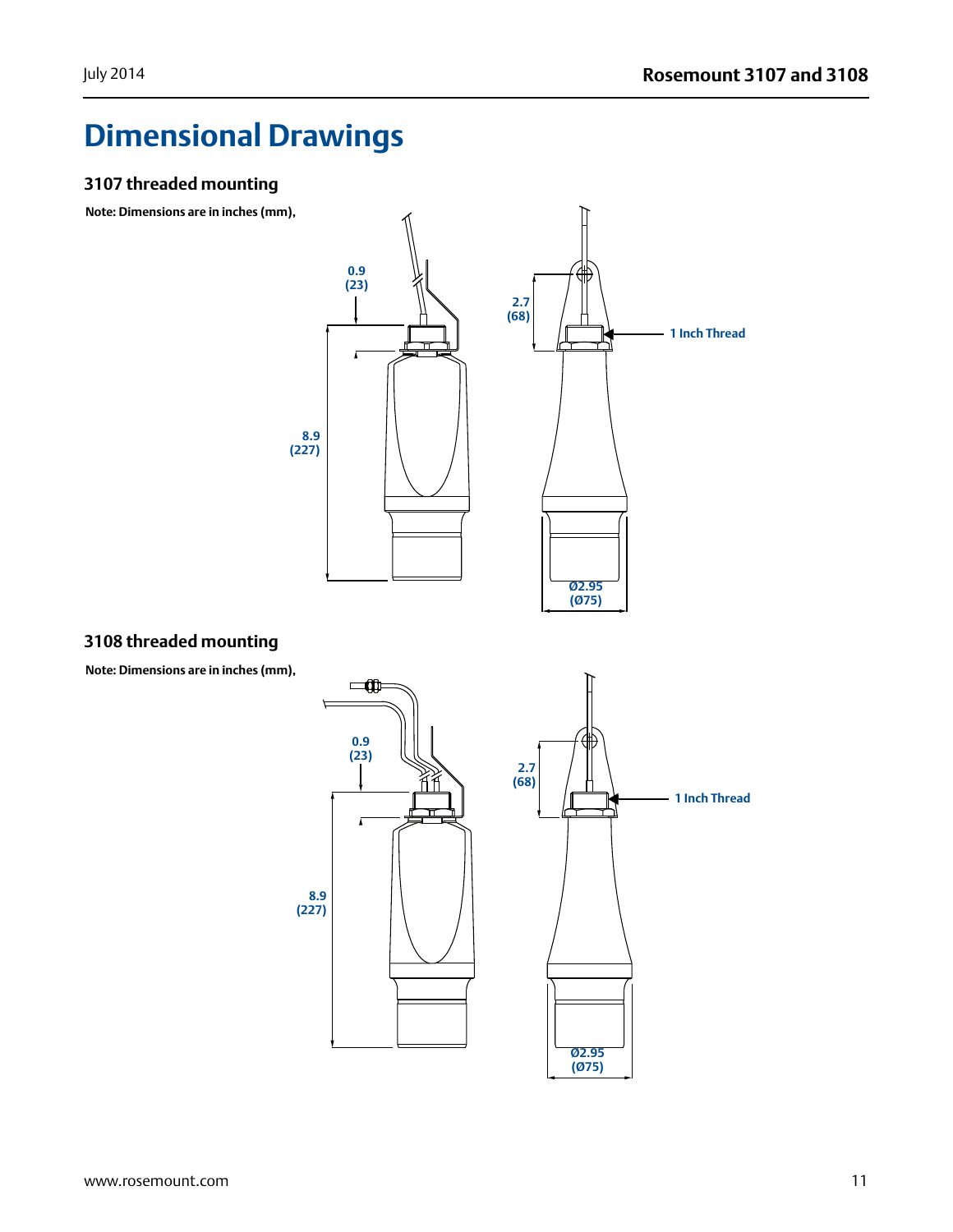## <span id="page-10-0"></span>**Dimensional Drawings**

#### **3107 threaded mounting**

**Note: Dimensions are in inches (mm),**



#### **3108 threaded mounting**

**Note: Dimensions are in inches (mm),**

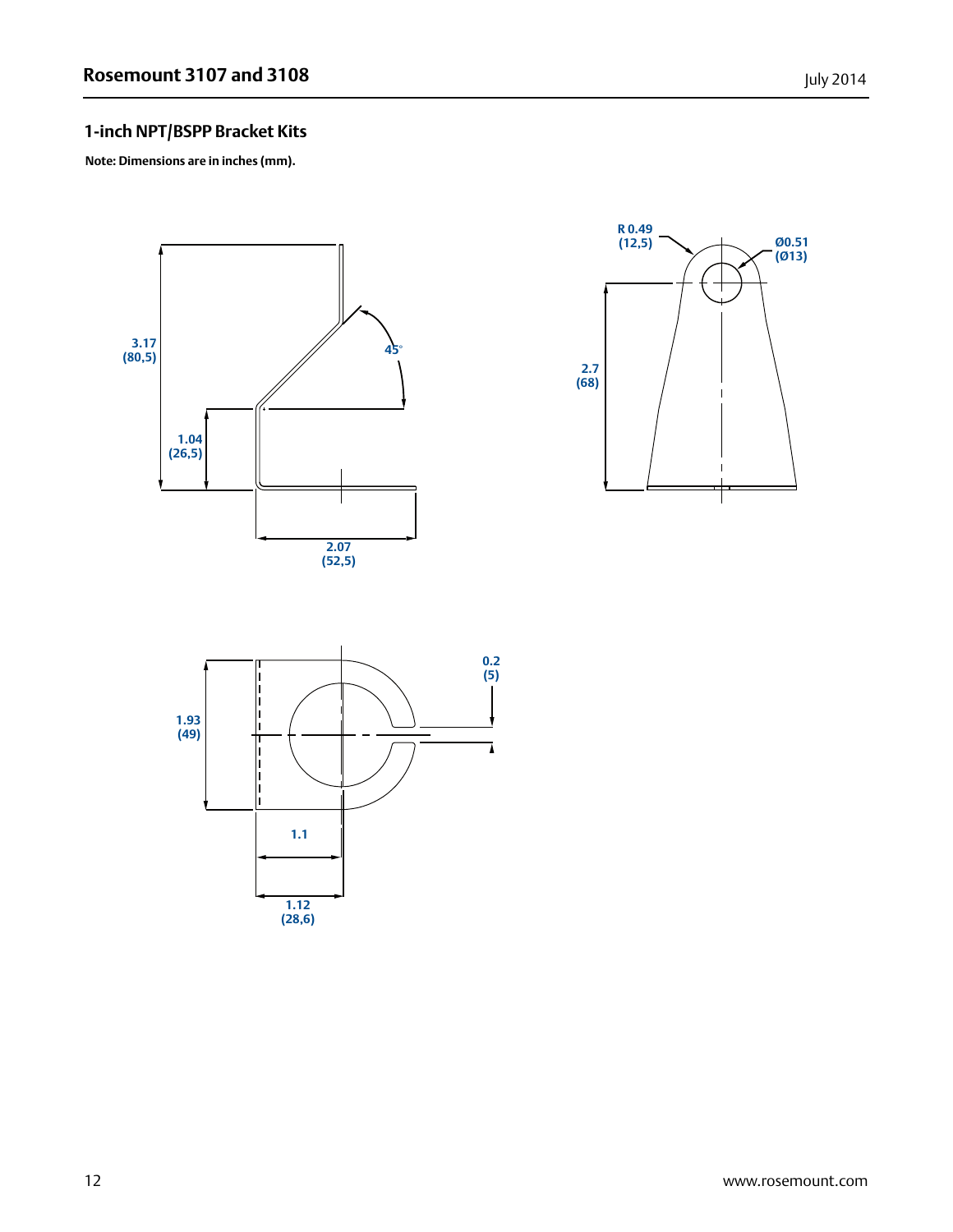### **1-inch NPT/BSPP Bracket Kits**

**Note: Dimensions are in inches (mm).**